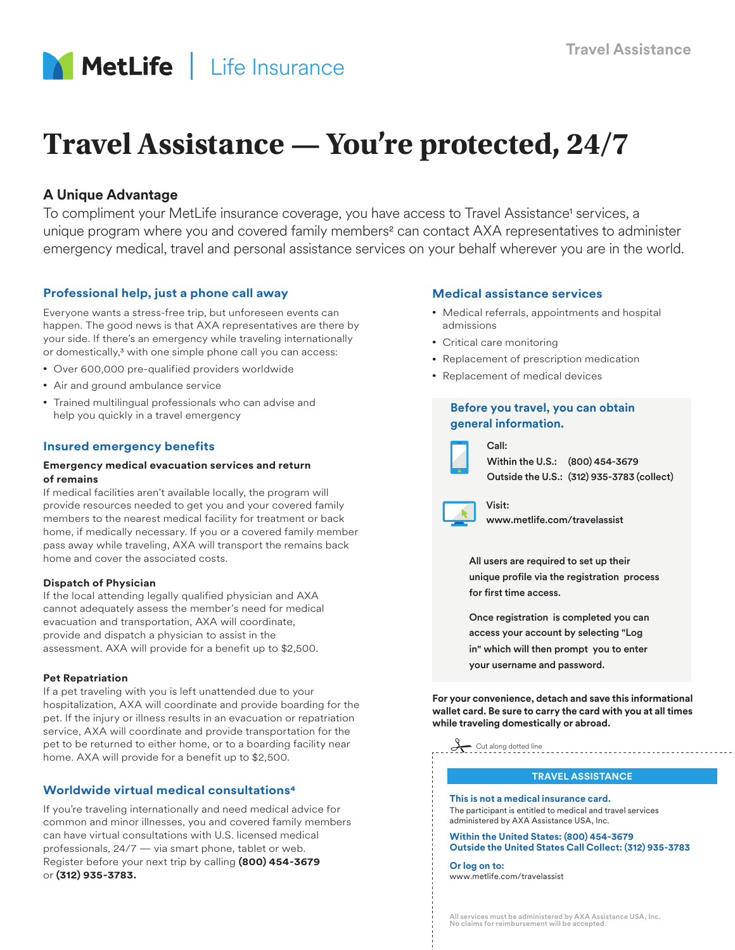

# **Travel Assistance — You're protected, 24/7**

# **A Unique Advantage**

To compliment your MetLife insurance coverage, you have access to Travel Assistance<sup>1</sup> services, a unique program where you and covered family members<sup>2</sup> can contact AXA representatives to administer emergency medical, travel and personal assistance services on your behalf wherever you are in the world.

# **Professional help, just a phone call away**

Everyone wants a stress-free trip, but unforeseen events can happen. The good news is that AXA representatives are there by your side. If there's an emergency while traveling internationally or domestically,<sup>3</sup> with one simple phone call you can access:

- Over 600,000 pre-qualified providers worldwide
- Air and ground ambulance service
- Trained multilingual professionals who can advise and help you quickly in a travel emergency

# **Insured emergency benefits**

#### **Emergency medical evacuation services and return of remains**

If medical facilities aren't available locally, the program will provide resources needed to get you and your covered family members to the nearest medical facility for treatment or back home, if medically necessary. If you or a covered family member pass away while traveling, AXA will transport the remains back home and cover the associated costs.

#### **Dispatch of Physician**

If the local attending legally qualified physician and AXA cannot adequately assess the member's need for medical evacuation and transportation, AXA will coordinate, provide and dispatch a physician to assist in the assessment. AXA will provide for a benefit up to \$2,500.

#### **Pet Repatriation**

If a pet traveling with you is left unattended due to your hospitalization, AXA will coordinate and provide boarding for the pet. If the injury or illness results in an evacuation or repatriation service, AXA will coordinate and provide transportation for the pet to be returned to either home, or to a boarding facility near home. AXA will provide for a benefit up to \$2,500.

# **Worldwide virtual medical consultations4**

If you're traveling internationally and need medical advice for common and minor illnesses, you and covered family members can have virtual consultations with U.S. licensed medical professionals, 24/7 — via smart phone, tablet or web. Register before your next trip by calling **(800) 454-3679** or **(312) 935-3783.**

# **Medical assistance services**

- Medical referrals, appointments and hospital admissions
- Critical care monitoring

Call:

Visit:

- Replacement of prescription medication
- Replacement of medical devices

# **Before you travel, you can obtain general information.**



Within the U.S.: (800) 454-3679 Outside the U.S.: (312) 935-3783 (collect)



<www.metlife.com/travelassist>

All users are required to set up their unique profile via the registration process for first time access.

Once registration is completed you can access your account by selecting "Log

in" which will then prompt you to enter your username and password.

**For your convenience, detach and save this informational wallet card. Be sure to carry the card with you at all times while traveling domestically or abroad.**



#### **TRAVEL ASSISTANCE**

**This is not a medical insurance card.** The participant is entitled to medical and travel services administered by AXA Assistance USA, Inc.

**Within the United States: (800) 454-3679 Outside the United States Call Collect: (312) 935-3783**

**Or log on to:** <www.metlife.com/travelassist>

All services must be administered by AXA Assistance USA, Inc. No claims for reimbursement will be accepte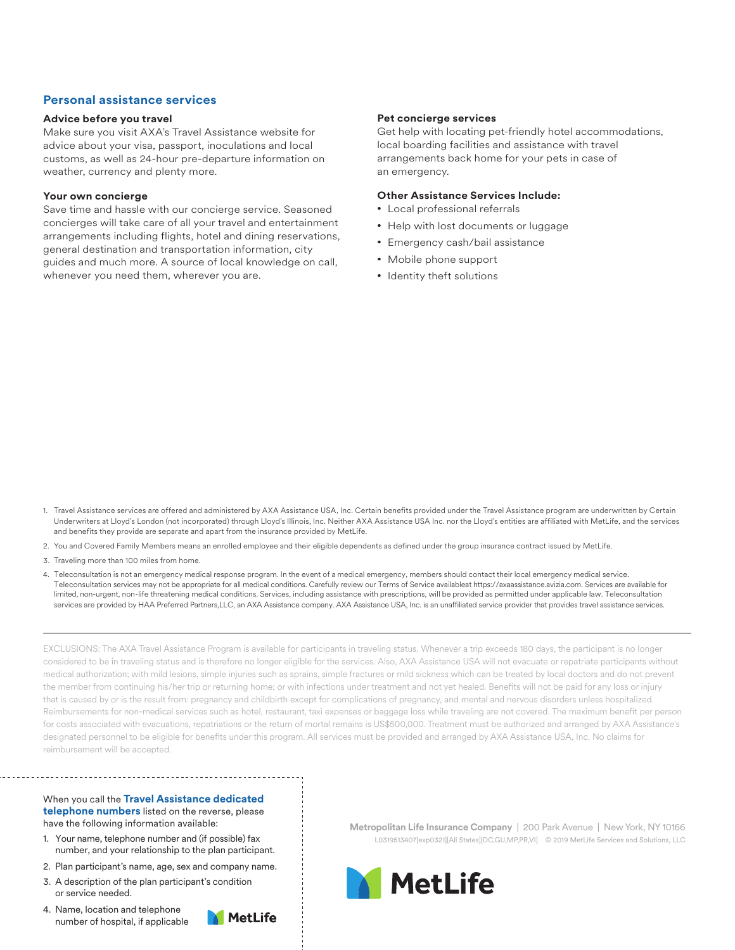# **Personal assistance services**

#### **Advice before you travel**

Make sure you visit AXA's Travel Assistance website for advice about your visa, passport, inoculations and local customs, as well as 24-hour pre-departure information on weather, currency and plenty more.

#### **Your own concierge**

Save time and hassle with our concierge service. Seasoned concierges will take care of all your travel and entertainment arrangements including flights, hotel and dining reservations, general destination and transportation information, city guides and much more. A source of local knowledge on call, whenever you need them, wherever you are.

#### **Pet concierge services**

Get help with locating pet-friendly hotel accommodations, local boarding facilities and assistance with travel arrangements back home for your pets in case of an emergency.

#### **Other Assistance Services Include:**

- Local professional referrals
- Help with lost documents or luggage
- Emergency cash/bail assistance
- Mobile phone support
- Identity theft solutions

- 1. Travel Assistance services are offered and administered by AXA Assistance USA, Inc. Certain benefits provided under the Travel Assistance program are underwritten by Certain Underwriters at Lloyd's London (not incorporated) through Lloyd's Illinois, Inc. Neither AXA Assistance USA Inc. nor the Lloyd's entities are affiliated with MetLife, and the services and benefits they provide are separate and apart from the insurance provided by MetLife.
- 2. You and Covered Family Members means an enrolled employee and their eligible dependents as defined under the group insurance contract issued by MetLife.
- 3. Traveling more than 100 miles from home.
- 4. Teleconsultation is not an emergency medical response program. In the event of a medical emergency, members should contact their local emergency medical service. Teleconsultation services may not be appropriate for all medical conditions. Carefully review our Terms of Service availableat https://axaassistance.avizia.com. Services are available for limited, non-urgent, non-life threatening medical conditions. Services, including assistance with prescriptions, will be provided as permitted under applicable law. Teleconsultation services are provided by HAA Preferred Partners,LLC, an AXA Assistance company. AXA Assistance USA, Inc. is an unaffiliated service provider that provides travel assistance services.

EXCLUSIONS: The AXA Travel Assistance Program is available for participants in traveling status. Whenever a trip exceeds 180 days, the participant is no longer considered to be in traveling status and is therefore no longer eligible for the services. Also, AXA Assistance USA will not evacuate or repatriate participants without medical authorization; with mild lesions, simple injuries such as sprains, simple fractures or mild sickness which can be treated by local doctors and do not prevent the member from continuing his/her trip or returning home; or with infections under treatment and not yet healed. Benefits will not be paid for any loss or injury that is caused by or is the result from: pregnancy and childbirth except for complications of pregnancy, and mental and nervous disorders unless hospitalized. Reimbursements for non-medical services such as hotel, restaurant, taxi expenses or baggage loss while traveling are not covered. The maximum benefit per person for costs associated with evacuations, repatriations or the return of mortal remains is US\$500,000. Treatment must be authorized and arranged by AXA Assistance's designated personnel to be eligible for benefits under this program. All services must be provided and arranged by AXA Assistance USA, Inc. No claims for reimbursement will be accepted.

#### When you call the **Travel Assistance dedicated telephone numbers** listed on the reverse, please have the following information available:

- 1. Your name, telephone number and (if possible) fax number, and your relationship to the plan participant.
- 2. Plan participant's name, age, sex and company name.
- 3. A description of the plan participant's condition or service needed.
- 4. Name, location and telephone number of hospital, if applicable



**Metropolitan Life Insurance Company** | 200 Park Avenue | New York, NY 10166 L0319513407[exp0321][All States][DC,GU,MP,PR,VI] © 2019 MetLife Services and Solutions, LLC

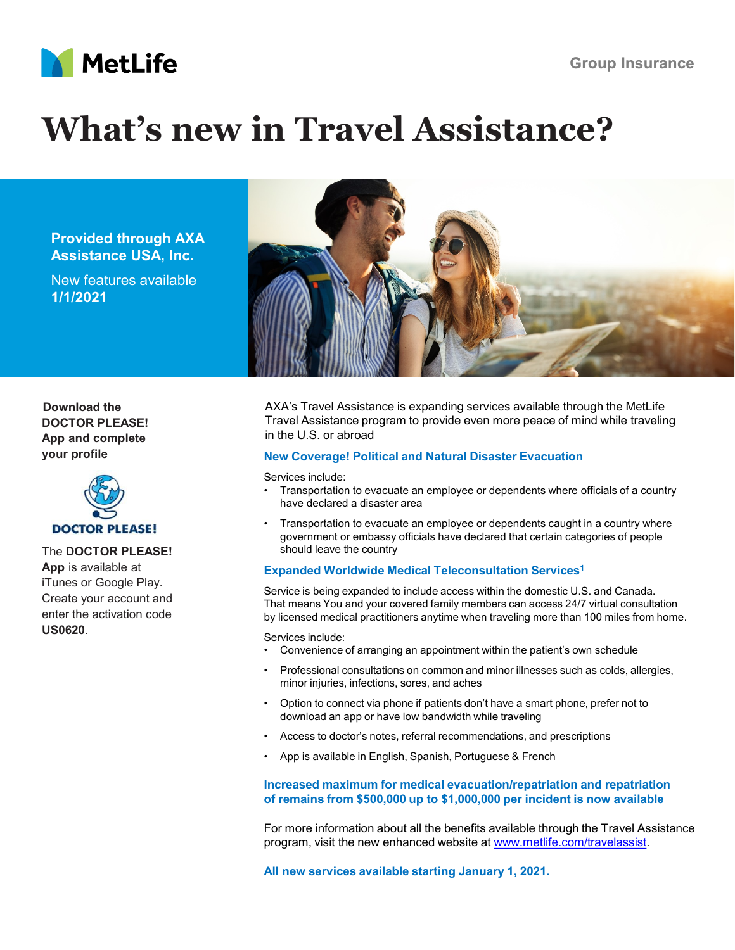

# **What's new in Travel Assistance?**

**Provided through AXA Assistance USA, Inc.**

New features available **1/1/2021**



**Download the DOCTOR PLEASE! App and complete your profile**



The **DOCTOR PLEASE! App** is available at iTunes or Google Play. Create your account and enter the activation code **US0620**.

AXA's Travel Assistance is expanding services available through the MetLife Travel Assistance program to provide even more peace of mind while traveling in the U.S. or abroad

# **New Coverage! Political and Natural Disaster Evacuation**

Services include:

- Transportation to evacuate an employee or dependents where officials of a country have declared a disaster area
- Transportation to evacuate an employee or dependents caught in a country where government or embassy officials have declared that certain categories of people should leave the country

# **Expanded Worldwide Medical Teleconsultation Services1**

Service is being expanded to include access within the domestic U.S. and Canada. That means You and your covered family members can access 24/7 virtual consultation by licensed medical practitioners anytime when traveling more than 100 miles from home.

Services include:

- Convenience of arranging an appointment within the patient's own schedule
- Professional consultations on common and minor illnesses such as colds, allergies, minor injuries, infections, sores, and aches
- Option to connect via phone if patients don't have a smart phone, prefer not to download an app or have low bandwidth while traveling
- Access to doctor's notes, referral recommendations, and prescriptions
- App is available in English, Spanish, Portuguese & French

# **Increased maximum for medical evacuation/repatriation and repatriation of remains from \$500,000 up to \$1,000,000 per incident is now available**

For more information about all the benefits available through the Travel Assistance program, visit the new enhanced website at [www.metlife.com/travelassist.](http://www.metlife.com/travelassist)

**All new services available starting January 1, 2021.**